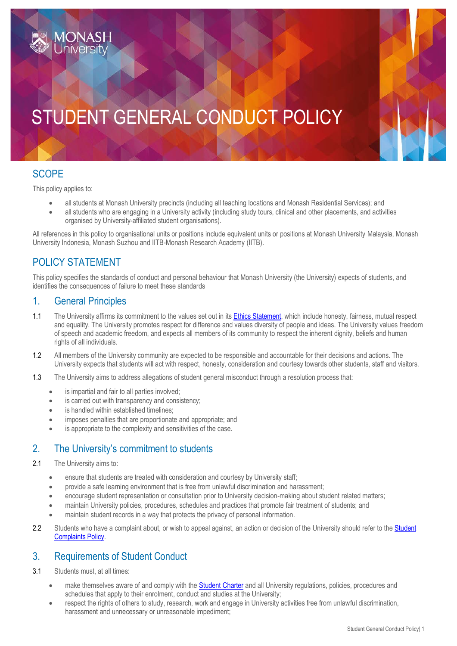# STUDENT GENERAL CONDUCT POLICY

## **SCOPE**

This policy applies to:

- all students at Monash University precincts (including all teaching locations and Monash Residential Services); and
- all students who are engaging in a University activity (including study tours, clinical and other placements, and activities organised by University-affiliated student organisations).

All references in this policy to organisational units or positions include equivalent units or positions at Monash University Malaysia, Monash University Indonesia, Monash Suzhou and IITB-Monash Research Academy (IITB).

## POLICY STATEMENT

This policy specifies the standards of conduct and personal behaviour that Monash University (the University) expects of students, and identifies the consequences of failure to meet these standards

#### 1. General Principles

- 1.1 The University affirms its commitment to the values set out in it[s Ethics Statement,](https://www.monash.edu/__data/assets/pdf_file/0004/1168798/Ethics-Statement.pdf) which include honesty, fairness, mutual respect and equality. The University promotes respect for difference and values diversity of people and ideas. The University values freedom of speech and academic freedom, and expects all members of its community to respect the inherent dignity, beliefs and human rights of all individuals.
- 1.2 All members of the University community are expected to be responsible and accountable for their decisions and actions. The University expects that students will act with respect, honesty, consideration and courtesy towards other students, staff and visitors.
- 1.3 The University aims to address allegations of student general misconduct through a resolution process that:
	- is impartial and fair to all parties involved;
	- is carried out with transparency and consistency;
	- is handled within established timelines:
	- imposes penalties that are proportionate and appropriate; and
	- is appropriate to the complexity and sensitivities of the case.

#### 2. The University's commitment to students

- 2.1 The University aims to:
	- ensure that students are treated with consideration and courtesy by University staff:
	- provide a safe learning environment that is free from unlawful discrimination and harassment;
	- encourage student representation or consultation prior to University decision-making about student related matters;
	- maintain University policies, procedures, schedules and practices that promote fair treatment of students; and
	- maintain student records in a way that protects the privacy of personal information.
- 2.2 Students who have a complaint about, or wish to appeal against, an action or decision of the University should refer to the Student [Complaints Policy.](https://www.monash.edu/__data/assets/pdf_file/0004/801850/Student-Complaints-and-Grievance-Policy.pdf)

#### 3. Requirements of Student Conduct

- 3.1 Students must, at all times:
	- make themselves aware of and comply with the [Student Charter](https://www.monash.edu/students/admin/policies/student-charter) and all University regulations, policies, procedures and schedules that apply to their enrolment, conduct and studies at the University;
	- respect the rights of others to study, research, work and engage in University activities free from unlawful discrimination, harassment and unnecessary or unreasonable impediment;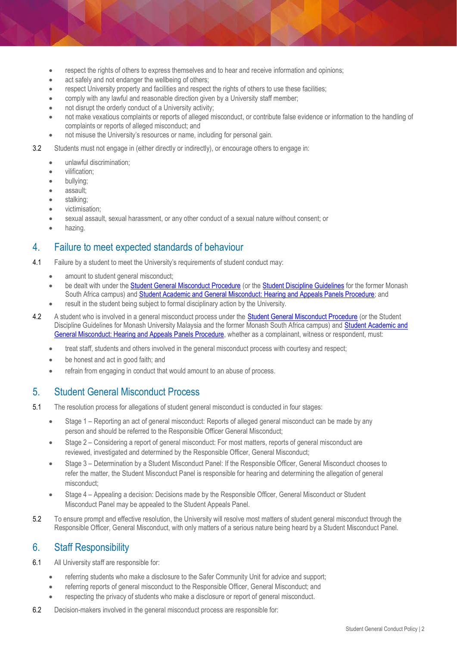- respect the rights of others to express themselves and to hear and receive information and opinions;
- act safely and not endanger the wellbeing of others;
- respect University property and facilities and respect the rights of others to use these facilities;
- comply with any lawful and reasonable direction given by a University staff member;
- not disrupt the orderly conduct of a University activity;
- not make vexatious complaints or reports of alleged misconduct, or contribute false evidence or information to the handling of complaints or reports of alleged misconduct; and
- not misuse the University's resources or name, including for personal gain.
- 3.2 Students must not engage in (either directly or indirectly), or encourage others to engage in:
	- unlawful discrimination;
	- vilification;
	- bullying;
	- assault;
	- stalking;
	- victimisation;
	- sexual assault, sexual harassment, or any other conduct of a sexual nature without consent; or
	- hazing.

#### 4. Failure to meet expected standards of behaviour

- 4.1 Failure by a student to meet the University's requirements of student conduct may:
	- amount to student general misconduct;
	- be dealt with under the **Student General Misconduct Procedure** (or the **Student Discipline Guidelines** for the former Monash South Africa campus) an[d Student Academic and General Misconduct: Hearing and Appeals Panels Procedure;](https://www.monash.edu/__data/assets/pdf_file/0005/2431805/Student-Academic-and-General-Misconduct-Hearing-and-Appeals-Panels-Procedure.pdf) and
	- result in the student being subject to formal disciplinary action by the University.
- 4.2 A student who is involved in a general misconduct process under the [Student General Misconduct Procedure](https://www.monash.edu/__data/assets/pdf_file/0007/2028670/Student-General-Misconduct-Procedure.pdf) [\(](https://www.monash.edu/__data/assets/pdf_file/0007/2028670/Student-General-Misconduct-Procedure.pdf)or th[e Student](https://www.monash.edu/__data/assets/pdf_file/0005/769640/student-discipline-guidelines-26-Feb-2018.pdf) [Discipline Guidelines fo](https://www.monash.edu/__data/assets/pdf_file/0005/769640/student-discipline-guidelines-26-Feb-2018.pdf)r Monash University Malaysia and the former Monash South Africa campus) and [Student Academic and](https://www.monash.edu/__data/assets/pdf_file/0005/2431805/Student-Academic-and-General-Misconduct-Hearing-and-Appeals-Panels-Procedure.pdf)  [General Misconduct: Hearing and Appeals Panels Procedure,](https://www.monash.edu/__data/assets/pdf_file/0005/2431805/Student-Academic-and-General-Misconduct-Hearing-and-Appeals-Panels-Procedure.pdf) whether as a complainant, witness or respondent, must:
	- treat staff, students and others involved in the general misconduct process with courtesy and respect;
	- be honest and act in good faith; and
	- refrain from engaging in conduct that would amount to an abuse of process.

#### 5. Student General Misconduct Process

- 5.1 The resolution process for allegations of student general misconduct is conducted in four stages:
	- Stage 1 Reporting an act of general misconduct: Reports of alleged general misconduct can be made by any person and should be referred to the Responsible Officer General Misconduct;
	- Stage 2 Considering a report of general misconduct: For most matters, reports of general misconduct are reviewed, investigated and determined by the Responsible Officer, General Misconduct;
	- Stage 3 Determination by a Student Misconduct Panel: If the Responsible Officer, General Misconduct chooses to refer the matter, the Student Misconduct Panel is responsible for hearing and determining the allegation of general misconduct;
	- Stage 4 Appealing a decision: Decisions made by the Responsible Officer, General Misconduct or Student Misconduct Panel may be appealed to the Student Appeals Panel.
- 5.2 To ensure prompt and effective resolution, the University will resolve most matters of student general misconduct through the Responsible Officer, General Misconduct, with only matters of a serious nature being heard by a Student Misconduct Panel.

#### 6. Staff Responsibility

- 6.1 All University staff are responsible for:
	- referring students who make a disclosure to the Safer Community Unit for advice and support;
	- referring reports of general misconduct to the Responsible Officer, General Misconduct; and
	- respecting the privacy of students who make a disclosure or report of general misconduct.
- 6.2 Decision-makers involved in the general misconduct process are responsible for: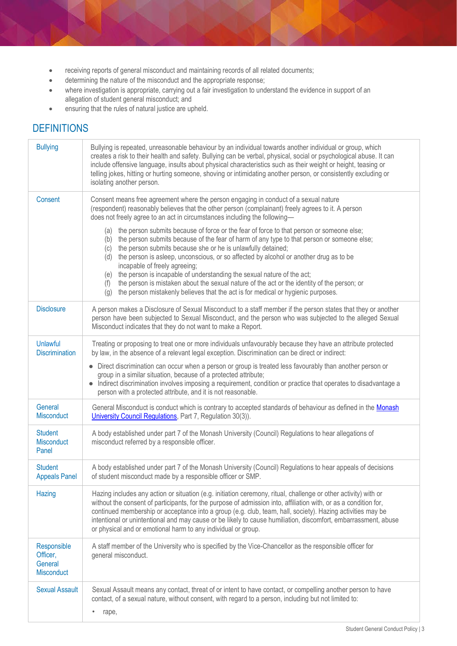- receiving reports of general misconduct and maintaining records of all related documents;
- determining the nature of the misconduct and the appropriate response;
- where investigation is appropriate, carrying out a fair investigation to understand the evidence in support of an allegation of student general misconduct; and
- ensuring that the rules of natural justice are upheld.

# **DEFINITIONS**

| <b>Bullying</b>                                  | Bullying is repeated, unreasonable behaviour by an individual towards another individual or group, which<br>creates a risk to their health and safety. Bullying can be verbal, physical, social or psychological abuse. It can<br>include offensive language, insults about physical characteristics such as their weight or height, teasing or<br>telling jokes, hitting or hurting someone, shoving or intimidating another person, or consistently excluding or<br>isolating another person.                                                                                                                                                                                             |
|--------------------------------------------------|---------------------------------------------------------------------------------------------------------------------------------------------------------------------------------------------------------------------------------------------------------------------------------------------------------------------------------------------------------------------------------------------------------------------------------------------------------------------------------------------------------------------------------------------------------------------------------------------------------------------------------------------------------------------------------------------|
| Consent                                          | Consent means free agreement where the person engaging in conduct of a sexual nature<br>(respondent) reasonably believes that the other person (complainant) freely agrees to it. A person<br>does not freely agree to an act in circumstances including the following-                                                                                                                                                                                                                                                                                                                                                                                                                     |
|                                                  | the person submits because of force or the fear of force to that person or someone else;<br>(a)<br>the person submits because of the fear of harm of any type to that person or someone else;<br>(b)<br>the person submits because she or he is unlawfully detained;<br>(c)<br>the person is asleep, unconscious, or so affected by alcohol or another drug as to be<br>(d)<br>incapable of freely agreeing;<br>(e) the person is incapable of understanding the sexual nature of the act;<br>the person is mistaken about the sexual nature of the act or the identity of the person; or<br>(f)<br>the person mistakenly believes that the act is for medical or hygienic purposes.<br>(g) |
| <b>Disclosure</b>                                | A person makes a Disclosure of Sexual Misconduct to a staff member if the person states that they or another<br>person have been subjected to Sexual Misconduct, and the person who was subjected to the alleged Sexual<br>Misconduct indicates that they do not want to make a Report.                                                                                                                                                                                                                                                                                                                                                                                                     |
| Unlawful<br><b>Discrimination</b>                | Treating or proposing to treat one or more individuals unfavourably because they have an attribute protected<br>by law, in the absence of a relevant legal exception. Discrimination can be direct or indirect:                                                                                                                                                                                                                                                                                                                                                                                                                                                                             |
|                                                  | • Direct discrimination can occur when a person or group is treated less favourably than another person or<br>group in a similar situation, because of a protected attribute;<br>• Indirect discrimination involves imposing a requirement, condition or practice that operates to disadvantage a<br>person with a protected attribute, and it is not reasonable.                                                                                                                                                                                                                                                                                                                           |
| General<br>Misconduct                            | General Misconduct is conduct which is contrary to accepted standards of behaviour as defined in the Monash<br>University Council Regulations, Part 7, Regulation 30(3)).                                                                                                                                                                                                                                                                                                                                                                                                                                                                                                                   |
| <b>Student</b><br>Misconduct<br>Panel            | A body established under part 7 of the Monash University (Council) Regulations to hear allegations of<br>misconduct referred by a responsible officer.                                                                                                                                                                                                                                                                                                                                                                                                                                                                                                                                      |
| <b>Student</b><br><b>Appeals Panel</b>           | A body established under part 7 of the Monash University (Council) Regulations to hear appeals of decisions<br>of student misconduct made by a responsible officer or SMP.                                                                                                                                                                                                                                                                                                                                                                                                                                                                                                                  |
| Hazing                                           | Hazing includes any action or situation (e.g. initiation ceremony, ritual, challenge or other activity) with or<br>without the consent of participants, for the purpose of admission into, affiliation with, or as a condition for,<br>continued membership or acceptance into a group (e.g. club, team, hall, society). Hazing activities may be<br>intentional or unintentional and may cause or be likely to cause humiliation, discomfort, embarrassment, abuse<br>or physical and or emotional harm to any individual or group.                                                                                                                                                        |
| Responsible<br>Officer,<br>General<br>Misconduct | A staff member of the University who is specified by the Vice-Chancellor as the responsible officer for<br>general misconduct.                                                                                                                                                                                                                                                                                                                                                                                                                                                                                                                                                              |
| <b>Sexual Assault</b>                            | Sexual Assault means any contact, threat of or intent to have contact, or compelling another person to have<br>contact, of a sexual nature, without consent, with regard to a person, including but not limited to:<br>rape,                                                                                                                                                                                                                                                                                                                                                                                                                                                                |